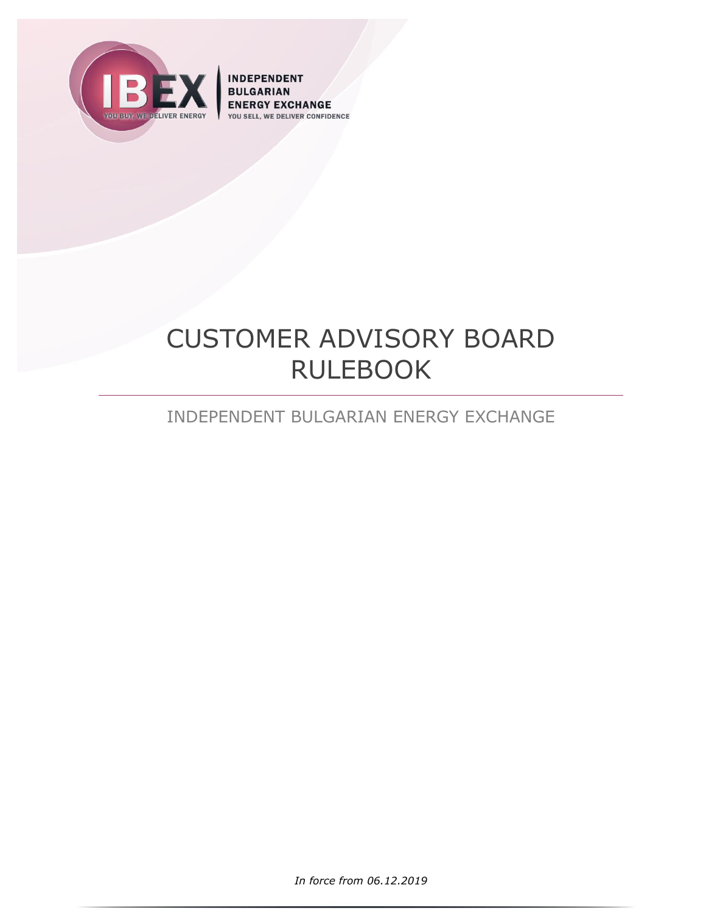

**INDEPENDENT BULGARIAN ENERGY EXCHANGE DELIVER CONFIDENCE** YOU SELL

# CUSTOMER ADVISORY BOARD RULEBOOK

## INDEPENDENT BULGARIAN ENERGY EXCHANGE

*In force from 06.12.2019*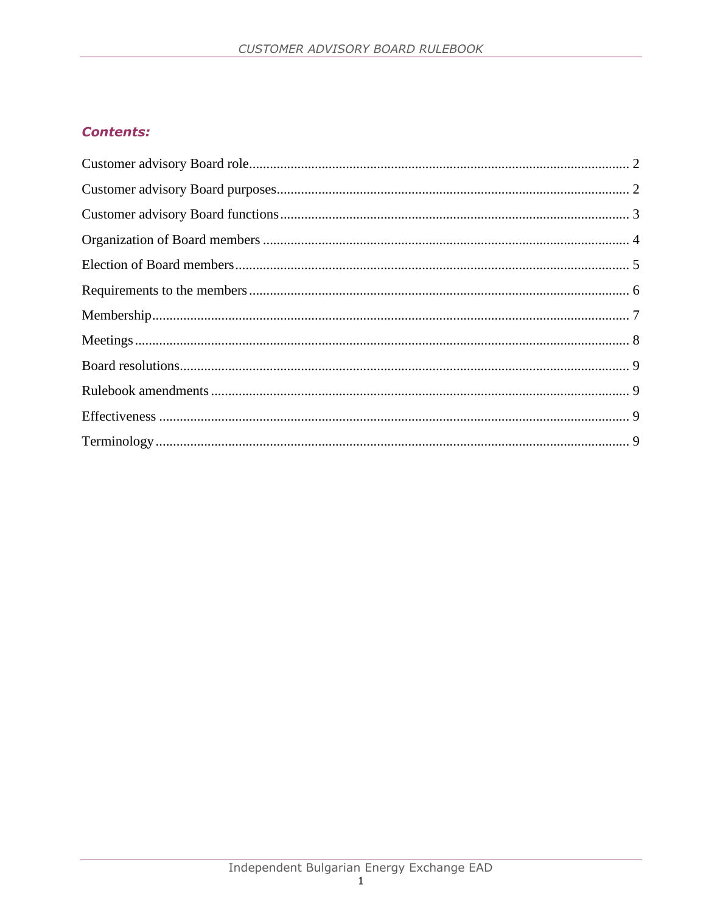### **Contents:**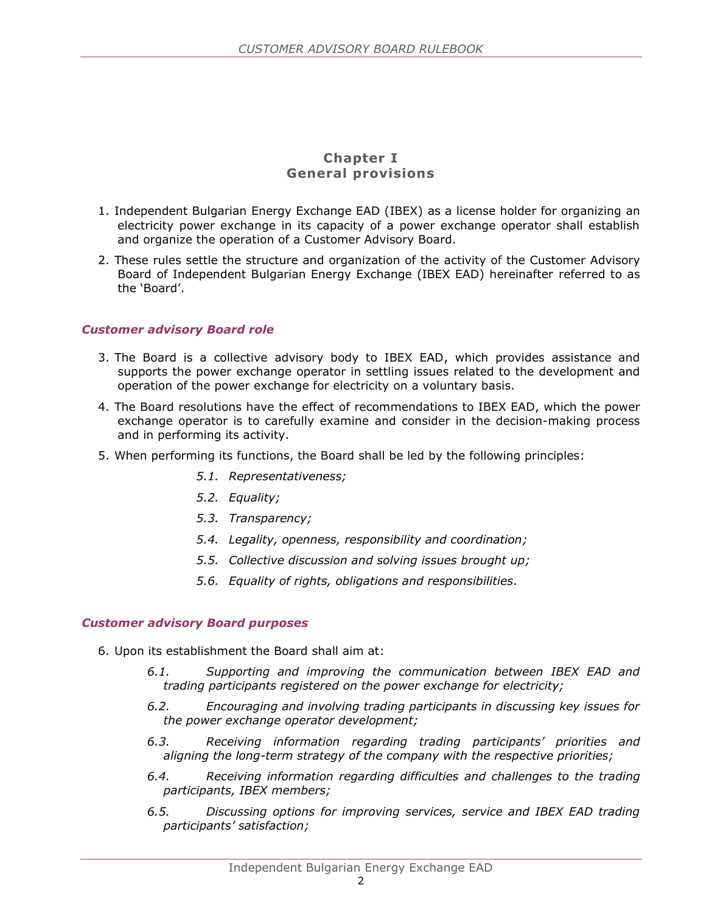#### **Chapter I General provisions**

- 1. Independent Bulgarian Energy Exchange EAD (IBEX) as a license holder for organizing an electricity power exchange in its capacity of a power exchange operator shall establish and organize the operation of a Customer Advisory Board.
- 2. These rules settle the structure and organization of the activity of the Customer Advisory Board of Independent Bulgarian Energy Exchange (IBEX EAD) hereinafter referred to as the 'Board'.

#### <span id="page-2-0"></span>*Customer advisory Board role*

- 3. The Board is a collective advisory body to IBEX EAD, which provides assistance and supports the power exchange operator in settling issues related to the development and operation of the power exchange for electricity on a voluntary basis.
- 4. The Board resolutions have the effect of recommendations to IBEX EAD, which the power exchange operator is to carefully examine and consider in the decision-making process and in performing its activity.
- 5. When performing its functions, the Board shall be led by the following principles:
	- *5.1. Representativeness;*
	- *5.2. Equality;*
	- *5.3. Transparency;*
	- *5.4. Legality, openness, responsibility and coordination;*
	- *5.5. Collective discussion and solving issues brought up;*
	- *5.6. Equality of rights, obligations and responsibilities.*

#### <span id="page-2-1"></span>*Customer advisory Board purposes*

- 6. Upon its establishment the Board shall aim at:
	- *6.1. Supporting and improving the communication between IBEX EAD and trading participants registered on the power exchange for electricity;*
	- *6.2. Encouraging and involving trading participants in discussing key issues for the power exchange operator development;*
	- *6.3. Receiving information regarding trading participants' priorities and aligning the long-term strategy of the company with the respective priorities;*
	- *6.4. Receiving information regarding difficulties and challenges to the trading participants, IBEX members;*
	- *6.5. Discussing options for improving services, service and IBEX EAD trading participants' satisfaction;*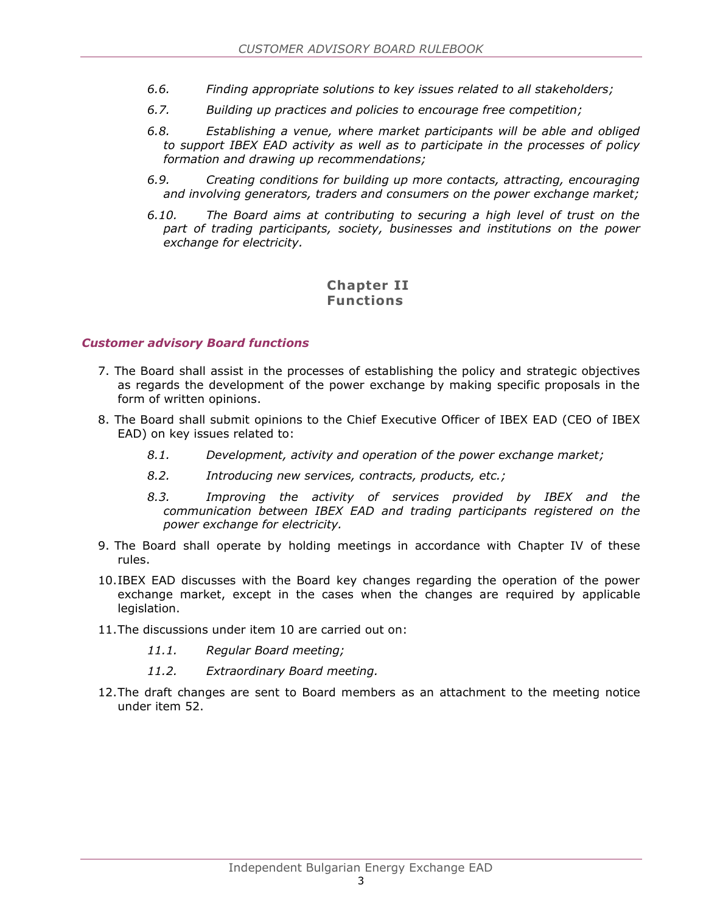- *6.6. Finding appropriate solutions to key issues related to all stakeholders;*
- *6.7. Building up practices and policies to encourage free competition;*
- *6.8. Establishing a venue, where market participants will be able and obliged to support IBEX EAD activity as well as to participate in the processes of policy formation and drawing up recommendations;*
- *6.9. Creating conditions for building up more contacts, attracting, encouraging and involving generators, traders and consumers on the power exchange market;*
- *6.10. The Board aims at contributing to securing a high level of trust on the part of trading participants, society, businesses and institutions on the power exchange for electricity.*

#### **Chapter II Functions**

#### <span id="page-3-0"></span>*Customer advisory Board functions*

- 7. The Board shall assist in the processes of establishing the policy and strategic objectives as regards the development of the power exchange by making specific proposals in the form of written opinions.
- 8. The Board shall submit opinions to the Chief Executive Officer of IBEX EAD (CEO of IBEX EAD) on key issues related to:
	- *8.1. Development, activity and operation of the power exchange market;*
	- *8.2. Introducing new services, contracts, products, etc.;*
	- *8.3. Improving the activity of services provided by IBEX and the communication between IBEX EAD and trading participants registered on the power exchange for electricity.*
- 9. The Board shall operate by holding meetings in accordance with Chapter IV of these rules.
- 10.IBEX EAD discusses with the Board key changes regarding the operation of the power exchange market, except in the cases when the changes are required by applicable legislation.
- 11.The discussions under item 10 are carried out on:
	- *11.1. Regular Board meeting;*
	- *11.2. Extraordinary Board meeting.*
- 12.The draft changes are sent to Board members as an attachment to the meeting notice under item 52.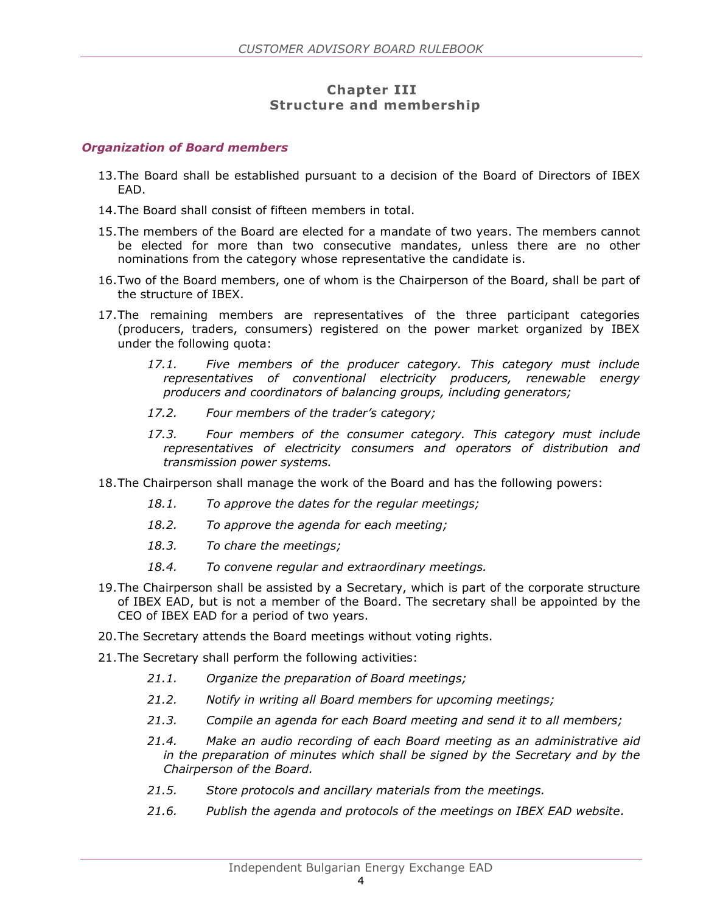#### **Chapter III Structure and membership**

#### <span id="page-4-0"></span>*Organization of Board members*

- 13.The Board shall be established pursuant to a decision of the Board of Directors of IBEX EAD.
- 14.The Board shall consist of fifteen members in total.
- 15.The members of the Board are elected for a mandate of two years. The members cannot be elected for more than two consecutive mandates, unless there are no other nominations from the category whose representative the candidate is.
- 16.Two of the Board members, one of whom is the Chairperson of the Board, shall be part of the structure of IBEX.
- 17.The remaining members are representatives of the three participant categories (producers, traders, consumers) registered on the power market organized by IBEX under the following quota:
	- *17.1. Five members of the producer category. This category must include representatives of conventional electricity producers, renewable energy producers and coordinators of balancing groups, including generators;*
	- *17.2. Four members of the trader's category;*
	- *17.3. Four members of the consumer category. This category must include representatives of electricity consumers and operators of distribution and transmission power systems.*
- 18.The Chairperson shall manage the work of the Board and has the following powers:
	- *18.1. To approve the dates for the regular meetings;*
	- *18.2. To approve the agenda for each meeting;*
	- *18.3. To chare the meetings;*
	- *18.4. To convene regular and extraordinary meetings.*
- 19.The Chairperson shall be assisted by a Secretary, which is part of the corporate structure of IBEX EAD, but is not a member of the Board. The secretary shall be appointed by the CEO of IBEX EAD for a period of two years.
- 20.The Secretary attends the Board meetings without voting rights.
- 21.The Secretary shall perform the following activities:
	- *21.1. Organize the preparation of Board meetings;*
	- *21.2. Notify in writing all Board members for upcoming meetings;*
	- *21.3. Compile an agenda for each Board meeting and send it to all members;*
	- *21.4. Make an audio recording of each Board meeting as an administrative aid in the preparation of minutes which shall be signed by the Secretary and by the Chairperson of the Board.*
	- *21.5. Store protocols and ancillary materials from the meetings.*
	- *21.6. Publish the agenda and protocols of the meetings on IBEX EAD website.*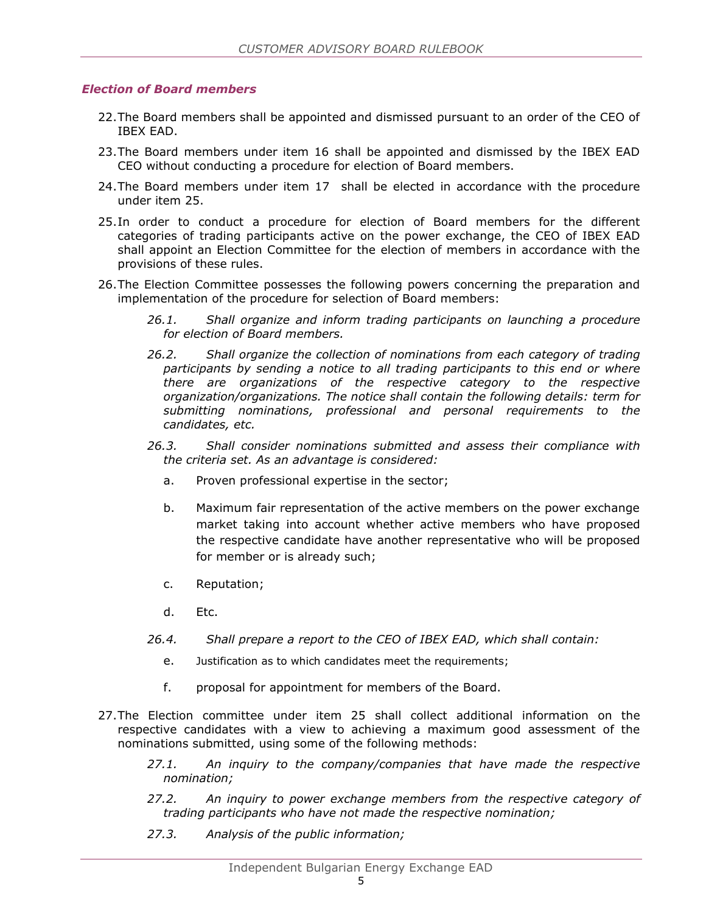#### <span id="page-5-0"></span>*Election of Board members*

- 22.The Board members shall be appointed and dismissed pursuant to an order of the CEO of IBEX EAD.
- 23.The Board members under item 16 shall be appointed and dismissed by the IBEX EAD CEO without conducting a procedure for election of Board members.
- 24.The Board members under item 17 shall be elected in accordance with the procedure under item 25.
- 25.In order to conduct a procedure for election of Board members for the different categories of trading participants active on the power exchange, the CEO of IBEX EAD shall appoint an Election Committee for the election of members in accordance with the provisions of these rules.
- 26.The Election Committee possesses the following powers concerning the preparation and implementation of the procedure for selection of Board members:
	- *26.1. Shall organize and inform trading participants on launching a procedure for election of Board members.*
	- *26.2. Shall organize the collection of nominations from each category of trading participants by sending a notice to all trading participants to this end or where there are organizations of the respective category to the respective organization/organizations. The notice shall contain the following details: term for submitting nominations, professional and personal requirements to the candidates, etc.*
	- *26.3. Shall consider nominations submitted and assess their compliance with the criteria set. As an advantage is considered:*
		- a. Proven professional expertise in the sector;
		- b. Maximum fair representation of the active members on the power exchange market taking into account whether active members who have proposed the respective candidate have another representative who will be proposed for member or is already such;
		- c. Reputation;
		- d. Etc.
	- *26.4. Shall prepare a report to the CEO of IBEX EAD, which shall contain:*
		- e. Justification as to which candidates meet the requirements;
		- f. proposal for appointment for members of the Board.
- 27.The Election committee under item 25 shall collect additional information on the respective candidates with a view to achieving a maximum good assessment of the nominations submitted, using some of the following methods:
	- *27.1. An inquiry to the company/companies that have made the respective nomination;*
	- *27.2. An inquiry to power exchange members from the respective category of trading participants who have not made the respective nomination;*
	- *27.3. Analysis of the public information;*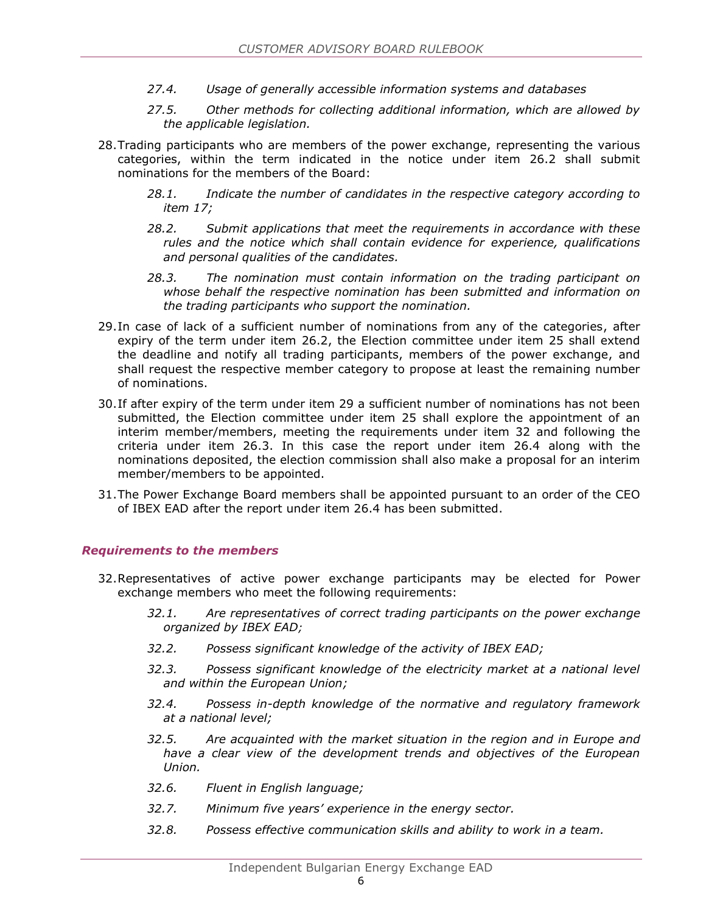- *27.4. Usage of generally accessible information systems and databases*
- *27.5. Other methods for collecting additional information, which are allowed by the applicable legislation.*
- 28.Trading participants who are members of the power exchange, representing the various categories, within the term indicated in the notice under item 26.2 shall submit nominations for the members of the Board:
	- *28.1. Indicate the number of candidates in the respective category according to item 17;*
	- *28.2. Submit applications that meet the requirements in accordance with these rules and the notice which shall contain evidence for experience, qualifications and personal qualities of the candidates.*
	- *28.3. The nomination must contain information on the trading participant on whose behalf the respective nomination has been submitted and information on the trading participants who support the nomination.*
- 29.In case of lack of a sufficient number of nominations from any of the categories, after expiry of the term under item 26.2, the Election committee under item 25 shall extend the deadline and notify all trading participants, members of the power exchange, and shall request the respective member category to propose at least the remaining number of nominations.
- 30.If after expiry of the term under item 29 a sufficient number of nominations has not been submitted, the Election committee under item 25 shall explore the appointment of an interim member/members, meeting the requirements under item 32 and following the criteria under item 26.3. In this case the report under item 26.4 along with the nominations deposited, the election commission shall also make a proposal for an interim member/members to be appointed.
- 31.The Power Exchange Board members shall be appointed pursuant to an order of the CEO of IBEX EAD after the report under item 26.4 has been submitted.

#### <span id="page-6-0"></span>*Requirements to the members*

- 32.Representatives of active power exchange participants may be elected for Power exchange members who meet the following requirements:
	- *32.1. Are representatives of correct trading participants on the power exchange organized by IBEX EAD;*
	- *32.2. Possess significant knowledge of the activity of IBEX EAD;*
	- *32.3. Possess significant knowledge of the electricity market at a national level and within the European Union;*
	- *32.4. Possess in-depth knowledge of the normative and regulatory framework at a national level;*
	- *32.5. Are acquainted with the market situation in the region and in Europe and have a clear view of the development trends and objectives of the European Union.*
	- *32.6. Fluent in English language;*
	- *32.7. Minimum five years' experience in the energy sector.*
	- *32.8. Possess effective communication skills and ability to work in a team.*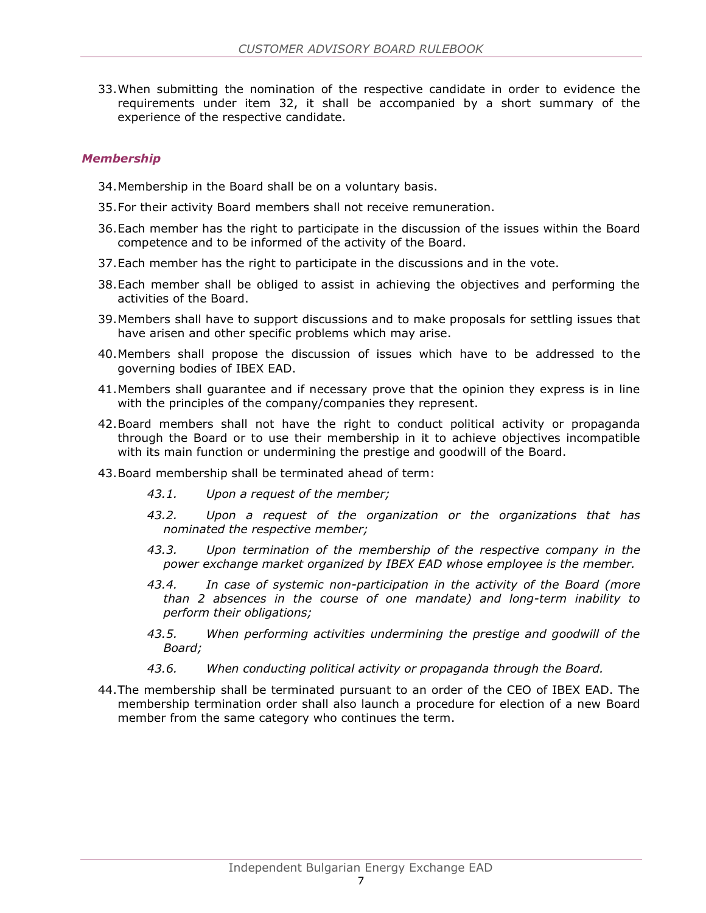33.When submitting the nomination of the respective candidate in order to evidence the requirements under item 32, it shall be accompanied by a short summary of the experience of the respective candidate.

#### <span id="page-7-0"></span>*Membership*

- 34.Membership in the Board shall be on a voluntary basis.
- 35.For their activity Board members shall not receive remuneration.
- 36.Each member has the right to participate in the discussion of the issues within the Board competence and to be informed of the activity of the Board.
- 37.Each member has the right to participate in the discussions and in the vote.
- 38.Each member shall be obliged to assist in achieving the objectives and performing the activities of the Board.
- 39.Members shall have to support discussions and to make proposals for settling issues that have arisen and other specific problems which may arise.
- 40.Members shall propose the discussion of issues which have to be addressed to the governing bodies of IBEX EAD.
- 41.Members shall guarantee and if necessary prove that the opinion they express is in line with the principles of the company/companies they represent.
- 42.Board members shall not have the right to conduct political activity or propaganda through the Board or to use their membership in it to achieve objectives incompatible with its main function or undermining the prestige and goodwill of the Board.
- 43.Board membership shall be terminated ahead of term:
	- *43.1. Upon a request of the member;*
	- *43.2. Upon a request of the organization or the organizations that has nominated the respective member;*
	- *43.3. Upon termination of the membership of the respective company in the power exchange market organized by IBEX EAD whose employee is the member.*
	- *43.4. In case of systemic non-participation in the activity of the Board (more than 2 absences in the course of one mandate) and long-term inability to perform their obligations;*
	- *43.5. When performing activities undermining the prestige and goodwill of the Board;*
	- *43.6. When conducting political activity or propaganda through the Board.*
- 44.The membership shall be terminated pursuant to an order of the CEO of IBEX EAD. The membership termination order shall also launch a procedure for election of a new Board member from the same category who continues the term.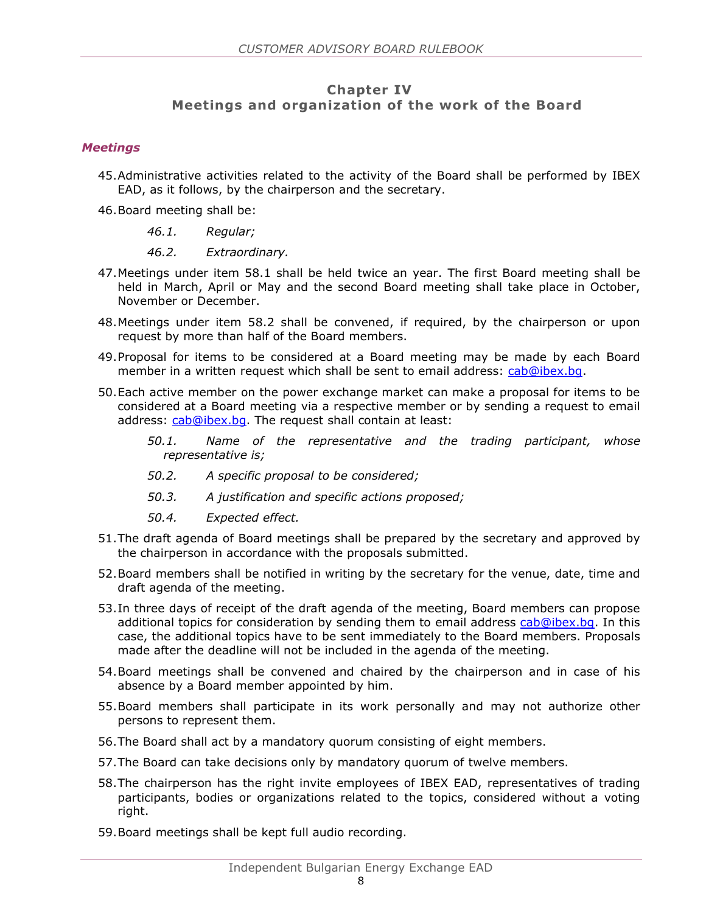#### **Chapter IV Meetings and organization of the work of the Board**

#### <span id="page-8-0"></span>*Meetings*

- 45.Administrative activities related to the activity of the Board shall be performed by IBEX EAD, as it follows, by the chairperson and the secretary.
- 46.Board meeting shall be:
	- *46.1. Regular;*
	- *46.2. Extraordinary.*
- 47.Meetings under item 58.1 shall be held twice an year. The first Board meeting shall be held in March, April or May and the second Board meeting shall take place in October, November or December.
- 48.Meetings under item 58.2 shall be convened, if required, by the chairperson or upon request by more than half of the Board members.
- 49.Proposal for items to be considered at a Board meeting may be made by each Board member in a written request which shall be sent to email address: [cab@ibex.bg.](mailto:cab@ibex.bg)
- 50.Each active member on the power exchange market can make a proposal for items to be considered at a Board meeting via a respective member or by sending a request to email address: [cab@ibex.bg.](mailto:cab@ibex.bg) The request shall contain at least:
	- *50.1. Name of the representative and the trading participant, whose representative is;*
	- *50.2. A specific proposal to be considered;*
	- *50.3. A justification and specific actions proposed;*
	- *50.4. Expected effect.*
- 51.The draft agenda of Board meetings shall be prepared by the secretary and approved by the chairperson in accordance with the proposals submitted.
- 52.Board members shall be notified in writing by the secretary for the venue, date, time and draft agenda of the meeting.
- 53.In three days of receipt of the draft agenda of the meeting, Board members can propose additional topics for consideration by sending them to email address [cab@ibex.bg.](mailto:cab@ibex.bg) In this case, the additional topics have to be sent immediately to the Board members. Proposals made after the deadline will not be included in the agenda of the meeting.
- 54.Board meetings shall be convened and chaired by the chairperson and in case of his absence by a Board member appointed by him.
- 55.Board members shall participate in its work personally and may not authorize other persons to represent them.
- 56.The Board shall act by a mandatory quorum consisting of eight members.
- 57.The Board can take decisions only by mandatory quorum of twelve members.
- 58.The chairperson has the right invite employees of IBEX EAD, representatives of trading participants, bodies or organizations related to the topics, considered without a voting right.
- 59.Board meetings shall be kept full audio recording.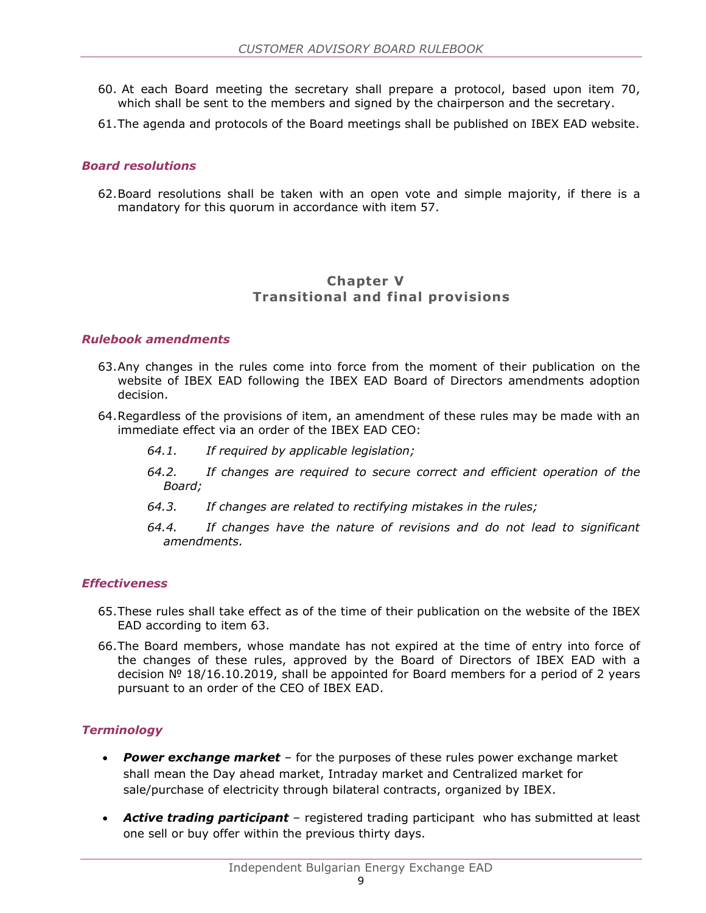- 60. At each Board meeting the secretary shall prepare a protocol, based upon item 70, which shall be sent to the members and signed by the chairperson and the secretary.
- 61.The agenda and protocols of the Board meetings shall be published on IBEX EAD website.

#### <span id="page-9-0"></span>*Board resolutions*

62.Board resolutions shall be taken with an open vote and simple majority, if there is a mandatory for this quorum in accordance with item 57.

#### **Chapter V Transitional and final provisions**

#### <span id="page-9-1"></span>*Rulebook amendments*

- 63.Any changes in the rules come into force from the moment of their publication on the website of IBEX EAD following the IBEX EAD Board of Directors amendments adoption decision.
- 64.Regardless of the provisions of item, an amendment of these rules may be made with an immediate effect via an order of the IBEX EAD CEO:
	- *64.1. If required by applicable legislation;*
	- *64.2. If changes are required to secure correct and efficient operation of the Board;*
	- *64.3. If changes are related to rectifying mistakes in the rules;*
	- *64.4. If changes have the nature of revisions and do not lead to significant amendments.*

#### <span id="page-9-2"></span>*Effectiveness*

- 65.These rules shall take effect as of the time of their publication on the website of the IBEX EAD according to item 63.
- 66.The Board members, whose mandate has not expired at the time of entry into force of the changes of these rules, approved by the Board of Directors of IBEX EAD with a decision № 18/16.10.2019, shall be appointed for Board members for a period of 2 years pursuant to an order of the CEO of IBEX EAD.

#### <span id="page-9-3"></span>*Terminology*

- *Power exchange market* for the purposes of these rules power exchange market shall mean the Day ahead market, Intraday market and Centralized market for sale/purchase of electricity through bilateral contracts, organized by IBEX.
- *Active trading participant* registered trading participant who has submitted at least one sell or buy offer within the previous thirty days.